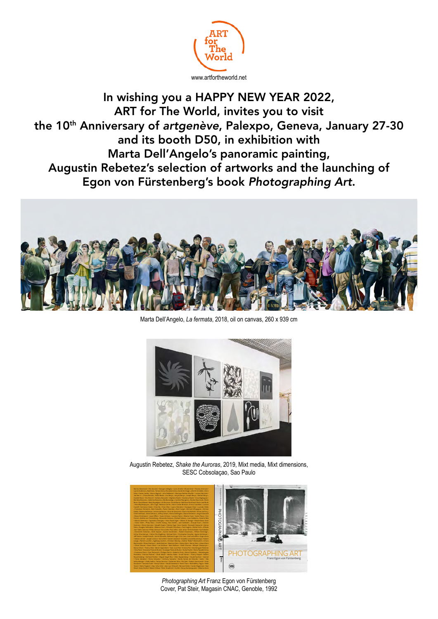

In wishing you a HAPPY NEW YEAR 2022, ART for The World, invites you to visit the 10th Anniversary of *artgenève*, Palexpo, Geneva, January 27-30 and its booth D50, in exhibition with Marta Dell'Angelo's panoramic painting, Augustin Rebetez's selection of artworks and the launching of Egon von Fürstenberg's book *Photographing Art*.



Marta Dell'Angelo, *La fermata*, 2018, oil on canvas, 260 x 939 cm



Augustin Rebetez, *Shake the Auroras*, 2019, Mixt media, Mixt dimensions, SESC Cobsolaçao, Sao Paulo



*Photographing Art* Franz Egon von Fürstenberg Cover, Pat Steir, Magasin CNAC, Genoble, 1992